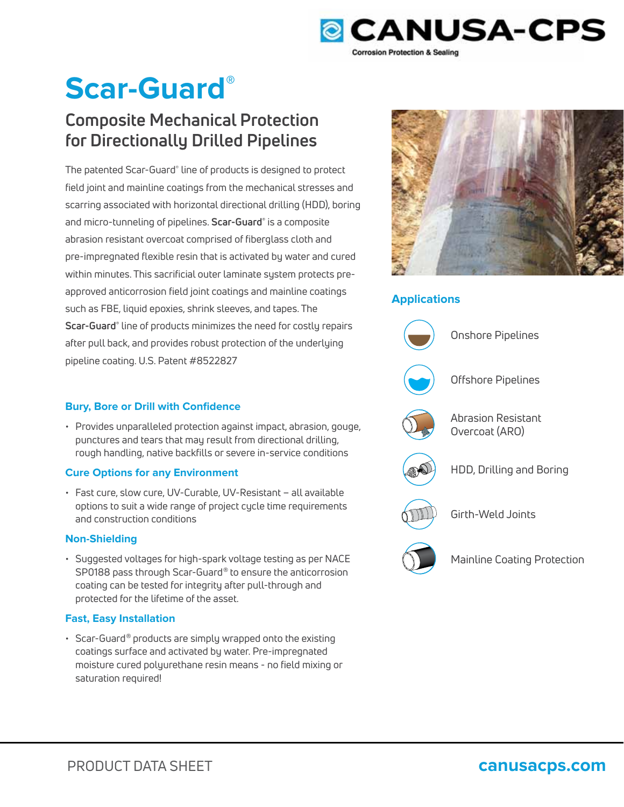

# **Scar-Guard®**

## **Composite Mechanical Protection for Directionally Drilled Pipelines**

The patented Scar-Guard® line of products is designed to protect field joint and mainline coatings from the mechanical stresses and scarring associated with horizontal directional drilling (HDD), boring and micro-tunneling of pipelines. **Scar-Guard®** is a composite abrasion resistant overcoat comprised of fiberglass cloth and pre-impregnated flexible resin that is activated by water and cured within minutes. This sacrificial outer laminate system protects preapproved anticorrosion field joint coatings and mainline coatings such as FBE, liquid epoxies, shrink sleeves, and tapes. The **Scar-Guard®** line of products minimizes the need for costly repairs after pull back, and provides robust protection of the underlying pipeline coating. U.S. Patent #8522827



• Provides unparalleled protection against impact, abrasion, gouge, punctures and tears that may result from directional drilling, rough handling, native backfills or severe in-service conditions

### **Cure Options for any Environment**

• Fast cure, slow cure, UV-Curable, UV-Resistant – all available options to suit a wide range of project cycle time requirements and construction conditions

### **Non-Shielding**

• Suggested voltages for high-spark voltage testing as per NACE SP0188 pass through Scar-Guard® to ensure the anticorrosion coating can be tested for integrity after pull-through and protected for the lifetime of the asset.

### **Fast, Easy Installation**

• Scar-Guard® products are simply wrapped onto the existing coatings surface and activated by water. Pre-impregnated moisture cured polyurethane resin means - no field mixing or saturation required!



### **Applications**